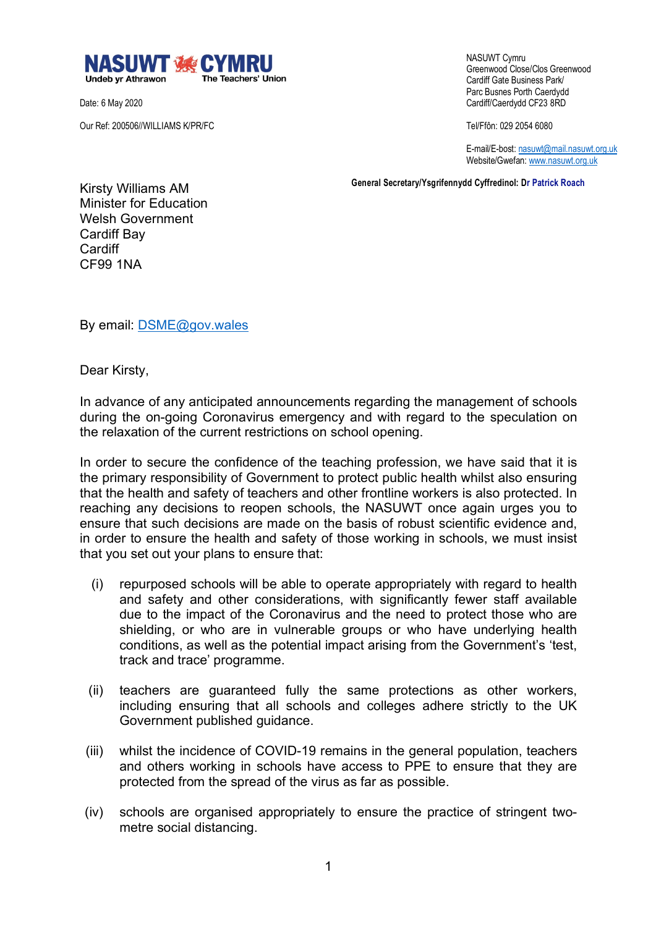

Date: 6 May 2020

Our Ref: 200506//WILLIAMS K/PR/FC

 NASUWT Cymru Greenwood Close/Clos Greenwood Cardiff Gate Business Park/ Parc Busnes Porth Caerdydd Cardiff/Caerdydd CF23 8RD

Tel/Ffôn: 029 2054 6080

 E-mail/E-bost: nasuwt@mail.nasuwt.org.uk Website/Gwefan: www.nasuwt.org.uk

 **General Secretary/Ysgrifennydd Cyffredinol: Dr Patrick Roach**

Kirsty Williams AM Minister for Education Welsh Government Cardiff Bay **Cardiff** CF99 1NA

By email: DSME@gov.wales

Dear Kirsty,

In advance of any anticipated announcements regarding the management of schools during the on-going Coronavirus emergency and with regard to the speculation on the relaxation of the current restrictions on school opening.

In order to secure the confidence of the teaching profession, we have said that it is the primary responsibility of Government to protect public health whilst also ensuring that the health and safety of teachers and other frontline workers is also protected. In reaching any decisions to reopen schools, the NASUWT once again urges you to ensure that such decisions are made on the basis of robust scientific evidence and, in order to ensure the health and safety of those working in schools, we must insist that you set out your plans to ensure that:

- (i) repurposed schools will be able to operate appropriately with regard to health and safety and other considerations, with significantly fewer staff available due to the impact of the Coronavirus and the need to protect those who are shielding, or who are in vulnerable groups or who have underlying health conditions, as well as the potential impact arising from the Government's 'test, track and trace' programme.
- (ii) teachers are guaranteed fully the same protections as other workers, including ensuring that all schools and colleges adhere strictly to the UK Government published guidance.
- (iii) whilst the incidence of COVID-19 remains in the general population, teachers and others working in schools have access to PPE to ensure that they are protected from the spread of the virus as far as possible.
- (iv) schools are organised appropriately to ensure the practice of stringent twometre social distancing.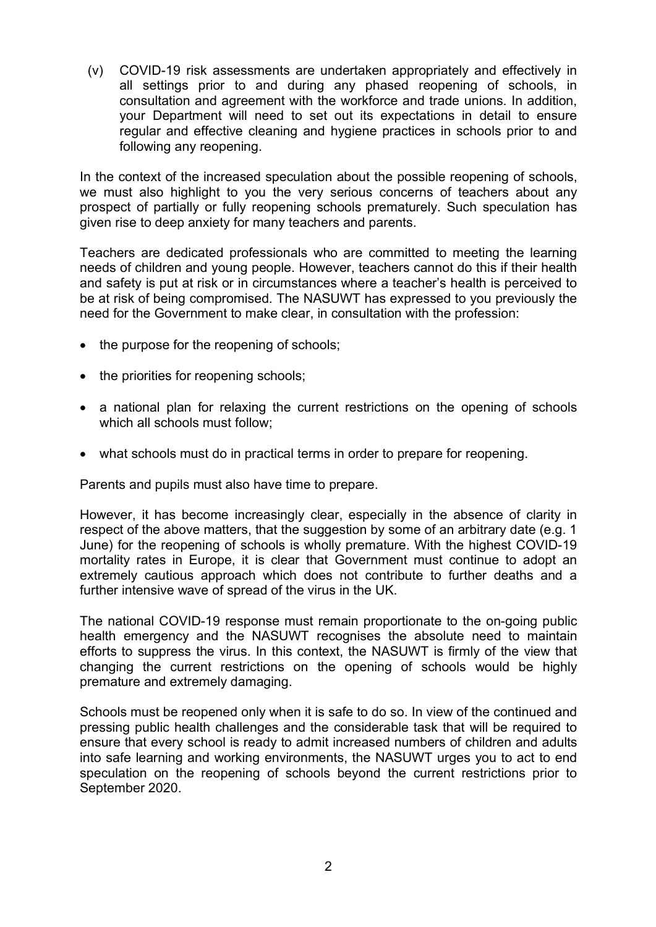(v) COVID-19 risk assessments are undertaken appropriately and effectively in all settings prior to and during any phased reopening of schools, in consultation and agreement with the workforce and trade unions. In addition, your Department will need to set out its expectations in detail to ensure regular and effective cleaning and hygiene practices in schools prior to and following any reopening.

In the context of the increased speculation about the possible reopening of schools, we must also highlight to you the very serious concerns of teachers about any prospect of partially or fully reopening schools prematurely. Such speculation has given rise to deep anxiety for many teachers and parents.

Teachers are dedicated professionals who are committed to meeting the learning needs of children and young people. However, teachers cannot do this if their health and safety is put at risk or in circumstances where a teacher's health is perceived to be at risk of being compromised. The NASUWT has expressed to you previously the need for the Government to make clear, in consultation with the profession:

- the purpose for the reopening of schools;
- the priorities for reopening schools;
- a national plan for relaxing the current restrictions on the opening of schools which all schools must follow;
- what schools must do in practical terms in order to prepare for reopening.

Parents and pupils must also have time to prepare.

However, it has become increasingly clear, especially in the absence of clarity in respect of the above matters, that the suggestion by some of an arbitrary date (e.g. 1 June) for the reopening of schools is wholly premature. With the highest COVID-19 mortality rates in Europe, it is clear that Government must continue to adopt an extremely cautious approach which does not contribute to further deaths and a further intensive wave of spread of the virus in the UK.

The national COVID-19 response must remain proportionate to the on-going public health emergency and the NASUWT recognises the absolute need to maintain efforts to suppress the virus. In this context, the NASUWT is firmly of the view that changing the current restrictions on the opening of schools would be highly premature and extremely damaging.

Schools must be reopened only when it is safe to do so. In view of the continued and pressing public health challenges and the considerable task that will be required to ensure that every school is ready to admit increased numbers of children and adults into safe learning and working environments, the NASUWT urges you to act to end speculation on the reopening of schools beyond the current restrictions prior to September 2020.